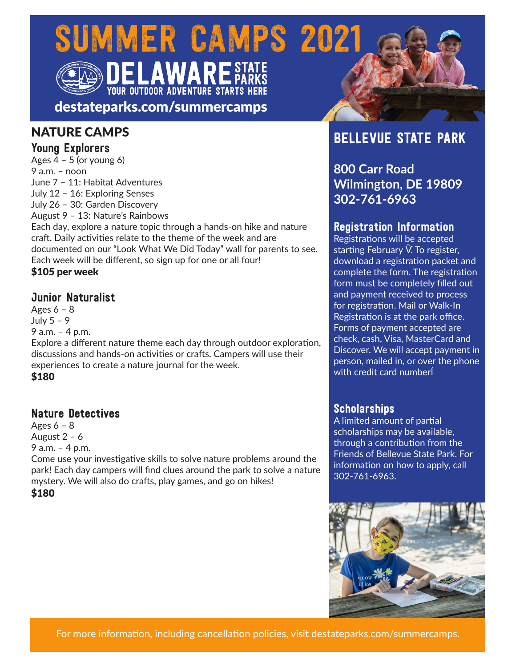# SUMMER CAMPS 2021 **YOUR OUTDOOR ADVENTURE STARTS HERE**

destateparks.com/summercamps

### NATURE CAMPS

### Young Explorers

Ages  $4 - 5$  (or young 6) 9 a.m. – noon June 7 – 11: Habitat Adventures July 12 – 16: Exploring Senses July 26 – 30: Garden Discovery August 9 – 13: Nature's Rainbows Each day, explore a nature topic through a hands-on hike and nature craft. Daily activities relate to the theme of the week and are

documented on our "Look What We Did Today" wall for parents to see. Each week will be different, so sign up for one or all four!

\$105 per week

### Junior Naturalist

Ages  $6 - 8$ July 5 – 9 9 a.m. – 4 p.m. Explore a different nature theme each day through outdoor exploration, discussions and hands-on activities or crafts. Campers will use their experiences to create a nature journal for the week.

\$180

### Nature Detectives

Ages  $6 - 8$ August 2 – 6 9 a.m. – 4 p.m.

Come use your investigative skills to solve nature problems around the park! Each day campers will find clues around the park to solve a nature mystery. We will also do crafts, play games, and go on hikes! \$180

# BELLEVUE STATE PARK

**800 Carr Road Wilmington, DE 19809 302-761-6963**

### Registration Information

Registrations will be accepted starting February . To register, download a registration packet and complete the form. The registration form must be completely filled out and payment received to process for registration. Mail or Walk-In Registration is at the park office. Forms of payment accepted are check, cash, Visa, MasterCard and Discover. We will accept payment in person, mailed in, or over the phone with credit card number

### **Scholarships**

A limited amount of partial scholarships may be available, through a contribution from the Friends of Bellevue State Park. For information on how to apply, call 302-761-6963.